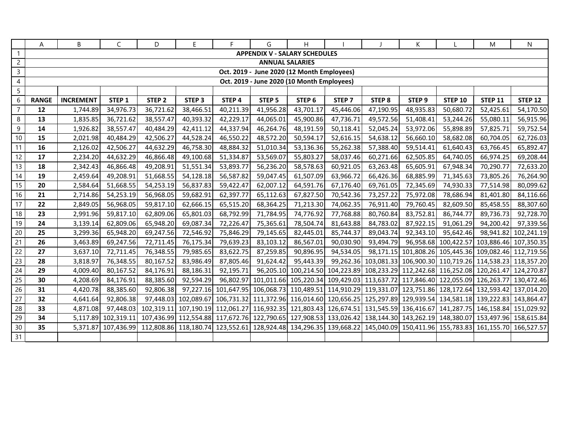|                 | A            | В                                          | C                   | D                                                                                                                                   | E.                | F.        | G                      | H                                    |                   |                   | К                 |                | M                                                                                                                        | N              |
|-----------------|--------------|--------------------------------------------|---------------------|-------------------------------------------------------------------------------------------------------------------------------------|-------------------|-----------|------------------------|--------------------------------------|-------------------|-------------------|-------------------|----------------|--------------------------------------------------------------------------------------------------------------------------|----------------|
| $\mathbf{1}$    |              |                                            |                     |                                                                                                                                     |                   |           |                        | <b>APPENDIX V - SALARY SCHEDULES</b> |                   |                   |                   |                |                                                                                                                          |                |
| $\overline{2}$  |              |                                            |                     |                                                                                                                                     |                   |           | <b>ANNUAL SALARIES</b> |                                      |                   |                   |                   |                |                                                                                                                          |                |
| $\overline{3}$  |              | Oct. 2019 - June 2020 (12 Month Employees) |                     |                                                                                                                                     |                   |           |                        |                                      |                   |                   |                   |                |                                                                                                                          |                |
| $\overline{4}$  |              | Oct. 2019 - June 2020 (10 Month Employees) |                     |                                                                                                                                     |                   |           |                        |                                      |                   |                   |                   |                |                                                                                                                          |                |
| 5               |              |                                            |                     |                                                                                                                                     |                   |           |                        |                                      |                   |                   |                   |                |                                                                                                                          |                |
| 6               | <b>RANGE</b> | <b>INCREMENT</b>                           | STEP <sub>1</sub>   | STEP <sub>2</sub>                                                                                                                   | STEP <sub>3</sub> | STEP 4    | STEP <sub>5</sub>      | STEP <sub>6</sub>                    | STEP <sub>7</sub> | STEP <sub>8</sub> | STEP <sub>9</sub> | <b>STEP 10</b> | <b>STEP 11</b>                                                                                                           | <b>STEP 12</b> |
| $\overline{7}$  | 12           | 1,744.89                                   | 34,976.73           | 36,721.62                                                                                                                           | 38,466.51         | 40,211.39 | 41,956.28              | 43,701.17                            | 45,446.06         | 47,190.95         | 48,935.83         | 50,680.72      | 52,425.61                                                                                                                | 54,170.50      |
| 8               | 13           | 1,835.85                                   | 36,721.62           | 38,557.47                                                                                                                           | 40,393.32         | 42,229.17 | 44,065.01              | 45,900.86                            | 47,736.71         | 49,572.56         | 51,408.41         | 53,244.26      | 55,080.11                                                                                                                | 56,915.96      |
| 9               | 14           | 1,926.82                                   | 38,557.47           | 40,484.29                                                                                                                           | 42,411.12         | 44,337.94 | 46,264.76              | 48,191.59                            | 50,118.41         | 52,045.24         | 53,972.06         | 55,898.89      | 57,825.71                                                                                                                | 59,752.54      |
| 10 <sup>1</sup> | 15           | 2,021.98                                   | 40,484.29           | 42,506.27                                                                                                                           | 44,528.24         | 46,550.22 | 48,572.20              | 50,594.17                            | 52,616.15         | 54,638.12         | 56,660.10         | 58,682.08      | 60,704.05                                                                                                                | 62,726.03      |
| 11              | 16           | 2,126.02                                   | 42,506.27           | 44,632.29                                                                                                                           | 46,758.30         | 48,884.32 | 51,010.34              | 53,136.36                            | 55,262.38         | 57,388.40         | 59,514.41         | 61,640.43      | 63,766.45                                                                                                                | 65,892.47      |
| 12              | 17           | 2,234.20                                   | 44,632.29           | 46,866.48                                                                                                                           | 49,100.68         | 51,334.87 | 53,569.07              | 55,803.27                            | 58,037.46         | 60,271.66         | 62,505.85         | 64,740.05      | 66,974.25                                                                                                                | 69,208.44      |
| 13              | 18           | 2,342.43                                   | 46,866.48           | 49,208.91                                                                                                                           | 51,551.34         | 53,893.77 | 56,236.20              | 58,578.63                            | 60,921.05         | 63,263.48         | 65,605.91         | 67,948.34      | 70,290.77                                                                                                                | 72,633.20      |
| 14              | 19           | 2,459.64                                   | 49,208.91           | 51,668.55                                                                                                                           | 54,128.18         | 56,587.82 | 59,047.45              | 61,507.09                            | 63,966.72         | 66,426.36         | 68,885.99         | 71,345.63      | 73,805.26                                                                                                                | 76,264.90      |
| 15              | 20           | 2,584.64                                   | 51,668.55           | 54,253.19                                                                                                                           | 56,837.83         | 59,422.47 | 62,007.12              | 64,591.76                            | 67,176.40         | 69,761.05         | 72,345.69         | 74,930.33      | 77,514.98                                                                                                                | 80,099.62      |
| 16              | 21           | 2,714.86                                   | 54,253.19           | 56,968.05                                                                                                                           | 59,682.91         | 62,397.77 | 65,112.63              | 67,827.50                            | 70,542.36         | 73,257.22         | 75,972.08         | 78,686.94      | 81,401.80                                                                                                                | 84,116.66      |
| $\overline{17}$ | 22           | 2,849.05                                   | 56,968.05           | 59,817.10                                                                                                                           | 62,666.15         | 65,515.20 | 68,364.25              | 71,213.30                            | 74,062.35         | 76,911.40         | 79,760.45         | 82,609.50      | 85,458.55                                                                                                                | 88,307.60      |
| 18              | 23           | 2,991.96                                   | 59,817.10           | 62,809.06                                                                                                                           | 65,801.03         | 68,792.99 | 71,784.95              | 74,776.92                            | 77,768.88         | 80,760.84         | 83,752.81         | 86,744.77      | 89,736.73                                                                                                                | 92,728.70      |
| 19              | 24           | 3,139.14                                   | 62,809.06           | 65,948.20                                                                                                                           | 69,087.34         | 72,226.47 | 75,365.61              | 78,504.74                            | 81,643.88         | 84,783.02         | 87,922.15         | 91,061.29      | 94,200.42                                                                                                                | 97,339.56      |
| $20\,$          | 25           | 3,299.36                                   | 65,948.20           | 69,247.56                                                                                                                           | 72,546.92         | 75,846.29 | 79,145.65              | 82,445.01                            | 85,744.37         | 89,043.74         | 92,343.10         | 95,642.46      | 98,941.82                                                                                                                | 102,241.19     |
| 21              | 26           | 3,463.89                                   | 69,247.56           | 72,711.45                                                                                                                           | 76,175.34         | 79,639.23 | 83,103.12              | 86,567.01                            | 90,030.90         | 93,494.79         |                   |                | 96,958.68 100,422.57 103,886.46 107,350.35                                                                               |                |
| $\overline{22}$ | 27           | 3,637.10                                   | 72,711.45           | 76,348.55                                                                                                                           | 79,985.65         | 83,622.75 | 87,259.85              | 90,896.95                            | 94,534.05         |                   |                   |                | 98,171.15 101,808.26 105,445.36 109,082.46 112,719.56                                                                    |                |
| 23              | 28           | 3,818.97                                   | 76,348.55           | 80,167.52                                                                                                                           | 83,986.49         | 87,805.46 | 91,624.42              | 95,443.39                            |                   |                   |                   |                | 99,262.36 103,081.33 106,900.30 110,719.26 114,538.23 118,357.20                                                         |                |
| 24              | 29           | 4,009.40                                   | 80,167.52           | 84,176.91                                                                                                                           | 88,186.31         | 92,195.71 |                        |                                      |                   |                   |                   |                | 96,205.10 100,214.50 104,223.89 108,233.29 112,242.68 116,252.08 120,261.47 124,270.87                                   |                |
| 25              | 30           | 4,208.69                                   | 84,176.91           | 88,385.60                                                                                                                           | 92,594.29         |           |                        |                                      |                   |                   |                   |                | 96,802.97 101,011.66 105,220.34 109,429.03 113,637.72 117,846.40 122,055.09 126,263.77 130,472.46                        |                |
| 26              | 31           | 4,420.78                                   | 88,385.60           | 92,806.38                                                                                                                           |                   |           |                        |                                      |                   |                   |                   |                | 97,227.16 101,647.95 106,068.73 110,489.51 114,910.29 119,331.07 123,751.86 128,172.64 132,593.42 137,014.20             |                |
| 27              | 32           | 4,641.64                                   | 92,806.38           |                                                                                                                                     |                   |           |                        |                                      |                   |                   |                   |                | 97,448.03 102,089.67 106,731.32 111,372.96 116,014.60 120,656.25 125,297.89 129,939.54 134,581.18 139,222.83 143,864.47  |                |
| 28              | 33           | 4,871.08                                   | 97,448.03           |                                                                                                                                     |                   |           |                        |                                      |                   |                   |                   |                | 102,319.11 107,190.19 112,061.27 116,932.35 121,803.43 126,674.51 131,545.59 136,416.67 141,287.75 146,158.84 151,029.92 |                |
| 29              | 34           |                                            | 5,117.89 102,319.11 |                                                                                                                                     |                   |           |                        |                                      |                   |                   |                   |                | 107,436.99 112,554.88 117,672.76 122,790.65 127,908.53 133,026.42 138,144.30 143,262.19 148,380.07 153,497.96 158,615.84 |                |
| $30\,$          | 35           | 5,371.87                                   |                     | 107,436.99 112,808.86 118,180.74 123,552.61 128,924.48 134,296.35 139,668.22 145,040.09 150,411.96 155,783.83 161,155.70 166,527.57 |                   |           |                        |                                      |                   |                   |                   |                |                                                                                                                          |                |
| 31              |              |                                            |                     |                                                                                                                                     |                   |           |                        |                                      |                   |                   |                   |                |                                                                                                                          |                |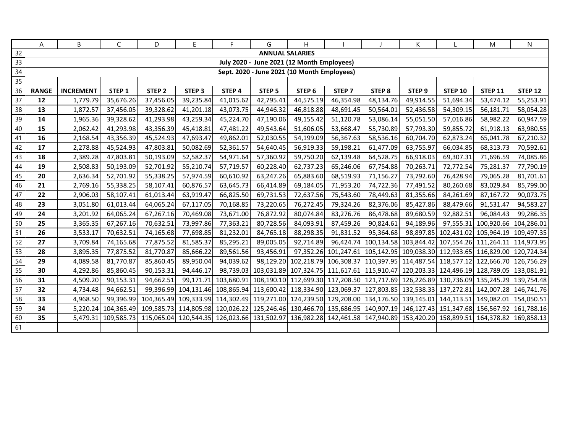|                 | A            | В                | $\mathsf{C}$        | D                 | E                 | F.        | G                                           | H.                |                   |                   | K                                                                                                                        |                                            | M                    | N              |
|-----------------|--------------|------------------|---------------------|-------------------|-------------------|-----------|---------------------------------------------|-------------------|-------------------|-------------------|--------------------------------------------------------------------------------------------------------------------------|--------------------------------------------|----------------------|----------------|
| 32              |              |                  |                     |                   |                   |           | <b>ANNUAL SALARIES</b>                      |                   |                   |                   |                                                                                                                          |                                            |                      |                |
| 33              |              |                  |                     |                   |                   |           | July 2020 - June 2021 (12 Month Employees)  |                   |                   |                   |                                                                                                                          |                                            |                      |                |
| $34\,$          |              |                  |                     |                   |                   |           | Sept. 2020 - June 2021 (10 Month Employees) |                   |                   |                   |                                                                                                                          |                                            |                      |                |
| 35              |              |                  |                     |                   |                   |           |                                             |                   |                   |                   |                                                                                                                          |                                            |                      |                |
| 36              | <b>RANGE</b> | <b>INCREMENT</b> | STEP 1              | STEP <sub>2</sub> | STEP <sub>3</sub> | STEP 4    | STEP <sub>5</sub>                           | STEP <sub>6</sub> | STEP <sub>7</sub> | STEP <sub>8</sub> | STEP <sub>9</sub>                                                                                                        | <b>STEP 10</b>                             | <b>STEP 11</b>       | <b>STEP 12</b> |
| 37              | 12           | 1,779.79         | 35,676.26           | 37,456.05         | 39,235.84         | 41,015.62 | 42,795.41                                   | 44,575.19         | 46,354.98         | 48,134.76         | 49,914.55                                                                                                                | 51,694.34                                  | 53,474.12            | 55,253.91      |
| 38              | 13           | 1,872.57         | 37,456.05           | 39,328.62         | 41,201.18         | 43,073.75 | 44,946.32                                   | 46,818.88         | 48,691.45         | 50,564.01         | 52,436.58                                                                                                                | 54,309.15                                  | 56,181.71            | 58,054.28      |
| 39              | 14           | 1,965.36         | 39,328.62           | 41,293.98         | 43,259.34         | 45,224.70 | 47,190.06                                   | 49,155.42         | 51,120.78         | 53,086.14         | 55,051.50                                                                                                                | 57,016.86                                  | 58,982.22            | 60,947.59      |
| 40              | 15           | 2,062.42         | 41,293.98           | 43,356.39         | 45,418.81         | 47,481.22 | 49,543.64                                   | 51,606.05         | 53,668.47         | 55,730.89         | 57,793.30                                                                                                                | 59,855.72                                  | 61,918.13            | 63,980.55      |
| 41              | 16           | 2,168.54         | 43,356.39           | 45,524.93         | 47,693.47         | 49,862.01 | 52,030.55                                   | 54,199.09         | 56,367.63         | 58,536.16         | 60,704.70                                                                                                                | 62,873.24                                  | 65,041.78            | 67,210.32      |
| 42              | 17           | 2,278.88         | 45,524.93           | 47,803.81         | 50,082.69         | 52,361.57 | 54,640.45                                   | 56,919.33         | 59,198.21         | 61,477.09         | 63,755.97                                                                                                                | 66,034.85                                  | 68,313.73            | 70,592.61      |
| 43              | 18           | 2,389.28         | 47,803.81           | 50,193.09         | 52,582.37         | 54,971.64 | 57,360.92                                   | 59,750.20         | 62,139.48         | 64,528.75         | 66,918.03                                                                                                                | 69,307.31                                  | 71,696.59            | 74,085.86      |
| 44              | 19           | 2,508.83         | 50,193.09           | 52,701.92         | 55,210.74         | 57,719.57 | 60,228.40                                   | 62,737.23         | 65,246.06         | 67,754.88         | 70,263.71                                                                                                                | 72,772.54                                  | 75,281.37            | 77,790.19      |
| 45              | 20           | 2,636.34         | 52,701.92           | 55,338.25         | 57,974.59         | 60,610.92 | 63,247.26                                   | 65,883.60         | 68,519.93         | 71,156.27         | 73,792.60                                                                                                                | 76,428.94                                  | 79,065.28            | 81,701.61      |
| 46              | 21           | 2,769.16         | 55,338.25           | 58,107.41         | 60,876.57         | 63,645.73 | 66,414.89                                   | 69,184.05         | 71,953.20         | 74,722.36         | 77,491.52                                                                                                                | 80,260.68                                  | 83,029.84            | 85,799.00      |
| $\overline{47}$ | 22           | 2,906.03         | 58,107.41           | 61,013.44         | 63,919.47         | 66,825.50 | 69,731.53                                   | 72,637.56         | 75,543.60         | 78,449.63         | 81,355.66                                                                                                                | 84,261.69                                  | 87,167.72            | 90,073.75      |
| 48              | 23           | 3,051.80         | 61,013.44           | 64,065.24         | 67,117.05         | 70,168.85 | 73,220.65                                   | 76,272.45         | 79,324.26         | 82,376.06         | 85,427.86                                                                                                                | 88,479.66                                  | 91,531.47            | 94,583.27      |
| 49              | 24           | 3,201.92         | 64,065.24           | 67,267.16         | 70,469.08         | 73,671.00 | 76,872.92                                   | 80,074.84         | 83,276.76         | 86,478.68         | 89,680.59                                                                                                                | 92,882.51                                  | 96,084.43            | 99,286.35      |
| 50              | 25           | 3,365.35         | 67,267.16           | 70,632.51         | 73,997.86         | 77,363.21 | 80,728.56                                   | 84,093.91         | 87,459.26         | 90,824.61         | 94,189.96                                                                                                                |                                            | 97,555.31 100,920.66 | 104,286.01     |
| 51              | 26           | 3,533.17         | 70,632.51           | 74,165.68         | 77,698.85         | 81,232.01 | 84,765.18                                   | 88,298.35         | 91,831.52         | 95,364.68         |                                                                                                                          | 98,897.85 102,431.02 105,964.19 109,497.35 |                      |                |
| 52              | 27           | 3,709.84         | 74,165.68           | 77,875.52         | 81,585.37         | 85,295.21 | 89,005.05                                   | 92,714.89         |                   |                   | 96,424.74 100,134.58 103,844.42 107,554.26 111,264.11 114,973.95                                                         |                                            |                      |                |
| 53              | 28           | 3,895.35         | 77,875.52           | 81,770.87         | 85,666.22         | 89,561.56 | 93,456.91                                   |                   |                   |                   | 97,352.26 101,247.61 105,142.95 109,038.30 112,933.65 116,829.00 120,724.34                                              |                                            |                      |                |
| 54              | 29           | 4,089.58         | 81,770.87           | 85,860.45         | 89,950.04         | 94,039.62 |                                             |                   |                   |                   | 98,129.20 102,218.79 106,308.37 110,397.95 114,487.54 118,577.12 122,666.70 126,756.29                                   |                                            |                      |                |
| 55              | 30           | 4,292.86         | 85,860.45           | 90,153.31         | 94,446.17         |           |                                             |                   |                   |                   | 98,739.03 103,031.89 107,324.75 111,617.61 115,910.47 120,203.33 124,496.19 128,789.05 133,081.91                        |                                            |                      |                |
| 56              | 31           | 4,509.20         | 90,153.31           | 94,662.51         | 99,171.71         |           |                                             |                   |                   |                   | 103,680.91 108,190.10 112,699.30 117,208.50 121,717.69 126,226.89 130,736.09 135,245.29 139,754.48                       |                                            |                      |                |
| 57              | 32           | 4,734.48         | 94,662.51           |                   |                   |           |                                             |                   |                   |                   | 99,396.99 104,131.46 108,865.94 113,600.42 118,334.90 123,069.37 127,803.85 132,538.33 137,272.81 142,007.28 146,741.76  |                                            |                      |                |
| 58              | 33           | 4,968.50         | 99,396.99           |                   |                   |           |                                             |                   |                   |                   | 104,365.49 109,333.99 114,302.49 119,271.00 124,239.50 129,208.00 134,176.50 139,145.01 144,113.51 149,082.01 154,050.51 |                                            |                      |                |
| 59              | 34           |                  | 5,220.24 104,365.49 |                   |                   |           |                                             |                   |                   |                   | 109,585.73 114,805.98 120,026.22 125,246.46 130,466.70 135,686.95 140,907.19 146,127.43 151,347.68 156,567.92 161,788.16 |                                            |                      |                |
| 60              | 35           | 5,479.31         | 109,585.73          |                   |                   |           |                                             |                   |                   |                   | 115,065.04 120,544.35 126,023.66 131,502.97 136,982.28 142,461.58 147,940.89 153,420.20 158,899.51 164,378.82 169,858.13 |                                            |                      |                |
| 61              |              |                  |                     |                   |                   |           |                                             |                   |                   |                   |                                                                                                                          |                                            |                      |                |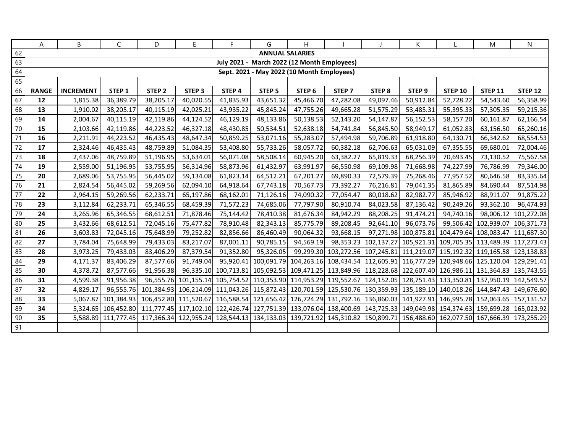|            | A                                          | В                | $\mathsf{C}$        | D                                                                                                                                                        | E                                                                                                                        | F.        | G                 | H                                           |                   |                   | K                                                                                                            |                | M                               | N              |
|------------|--------------------------------------------|------------------|---------------------|----------------------------------------------------------------------------------------------------------------------------------------------------------|--------------------------------------------------------------------------------------------------------------------------|-----------|-------------------|---------------------------------------------|-------------------|-------------------|--------------------------------------------------------------------------------------------------------------|----------------|---------------------------------|----------------|
| 62         | <b>ANNUAL SALARIES</b>                     |                  |                     |                                                                                                                                                          |                                                                                                                          |           |                   |                                             |                   |                   |                                                                                                              |                |                                 |                |
| 63         |                                            |                  |                     |                                                                                                                                                          |                                                                                                                          |           |                   | July 2021 - March 2022 (12 Month Employees) |                   |                   |                                                                                                              |                |                                 |                |
| 64         | Sept. 2021 - May 2022 (10 Month Employees) |                  |                     |                                                                                                                                                          |                                                                                                                          |           |                   |                                             |                   |                   |                                                                                                              |                |                                 |                |
| 65         |                                            |                  |                     |                                                                                                                                                          |                                                                                                                          |           |                   |                                             |                   |                   |                                                                                                              |                |                                 |                |
| 66         | <b>RANGE</b>                               | <b>INCREMENT</b> | STEP 1              | STEP <sub>2</sub>                                                                                                                                        | STEP <sub>3</sub>                                                                                                        | STEP 4    | STEP <sub>5</sub> | STEP <sub>6</sub>                           | STEP <sub>7</sub> | STEP <sub>8</sub> | STEP <sub>9</sub>                                                                                            | <b>STEP 10</b> | <b>STEP 11</b>                  | <b>STEP 12</b> |
| 67         | 12                                         | 1,815.38         | 36,389.79           | 38,205.17                                                                                                                                                | 40,020.55                                                                                                                | 41,835.93 | 43,651.32         | 45,466.70                                   | 47,282.08         | 49,097.46         | 50,912.84                                                                                                    | 52,728.22      | 54,543.60                       | 56,358.99      |
| 68         | 13                                         | 1,910.02         | 38,205.17           | 40,115.19                                                                                                                                                | 42,025.21                                                                                                                | 43,935.22 | 45,845.24         | 47,755.26                                   | 49,665.28         | 51,575.29         | 53,485.31                                                                                                    | 55,395.33      | 57,305.35                       | 59,215.36      |
| 69         | 14                                         | 2,004.67         | 40,115.19           | 42,119.86                                                                                                                                                | 44,124.52                                                                                                                | 46,129.19 | 48,133.86         | 50,138.53                                   | 52,143.20         | 54,147.87         | 56,152.53                                                                                                    | 58,157.20      | 60,161.87                       | 62,166.54      |
| 70         | 15                                         | 2,103.66         | 42,119.86           | 44,223.52                                                                                                                                                | 46,327.18                                                                                                                | 48,430.85 | 50,534.51         | 52,638.18                                   | 54,741.84         | 56,845.50         | 58,949.17                                                                                                    | 61,052.83      | 63,156.50                       | 65,260.16      |
| 71         | 16                                         | 2,211.91         | 44,223.52           | 46,435.43                                                                                                                                                | 48,647.34                                                                                                                | 50,859.25 | 53,071.16         | 55,283.07                                   | 57,494.98         | 59,706.89         | 61,918.80                                                                                                    | 64,130.71      | 66,342.62                       | 68,554.53      |
| 72         | 17                                         | 2,324.46         | 46,435.43           | 48,759.89                                                                                                                                                | 51,084.35                                                                                                                | 53,408.80 | 55,733.26         | 58,057.72                                   | 60,382.18         | 62,706.63         | 65,031.09                                                                                                    | 67,355.55      | 69,680.01                       | 72,004.46      |
| 73         | 18                                         | 2,437.06         | 48,759.89           | 51,196.95                                                                                                                                                | 53,634.01                                                                                                                | 56,071.08 | 58,508.14         | 60,945.20                                   | 63,382.27         | 65,819.33         | 68,256.39                                                                                                    | 70,693.45      | 73,130.52                       | 75,567.58      |
| $74\,$     | 19                                         | 2,559.00         | 51,196.95           | 53,755.95                                                                                                                                                | 56,314.96                                                                                                                | 58,873.96 | 61,432.97         | 63,991.97                                   | 66,550.98         | 69,109.98         | 71,668.98                                                                                                    | 74,227.99      | 76,786.99                       | 79,346.00      |
| $75\,$     | 20                                         | 2,689.06         | 53,755.95           | 56,445.02                                                                                                                                                | 59,134.08                                                                                                                | 61,823.14 | 64,512.21         | 67,201.27                                   | 69,890.33         | 72,579.39         | 75,268.46                                                                                                    | 77,957.52      | 80,646.58                       | 83,335.64      |
| 76         | 21                                         | 2,824.54         | 56,445.02           | 59,269.56                                                                                                                                                | 62,094.10                                                                                                                | 64,918.64 | 67,743.18         | 70,567.73                                   | 73,392.27         | 76,216.81         | 79,041.35                                                                                                    | 81,865.89      | 84,690.44                       | 87,514.98      |
| $77\,$     | 22                                         | 2,964.15         | 59,269.56           | 62,233.71                                                                                                                                                | 65,197.86                                                                                                                | 68,162.01 | 71,126.16         | 74,090.32                                   | 77,054.47         | 80,018.62         | 82,982.77                                                                                                    | 85,946.92      | 88,911.07                       | 91,875.22      |
| ${\bf 78}$ | 23                                         | 3,112.84         | 62,233.71           | 65,346.55                                                                                                                                                | 68,459.39                                                                                                                | 71,572.23 | 74,685.06         | 77,797.90                                   | 80,910.74         | 84,023.58         | 87,136.42                                                                                                    | 90,249.26      | 93,362.10                       | 96,474.93      |
| 79         | 24                                         | 3,265.96         | 65,346.55           | 68,612.51                                                                                                                                                | 71,878.46                                                                                                                | 75,144.42 | 78,410.38         | 81,676.34                                   | 84,942.29         | 88,208.25         | 91,474.21                                                                                                    | 94,740.16      | 98,006.12                       | 101,272.08     |
| 80         | 25                                         | 3,432.66         | 68,612.51           | 72,045.16                                                                                                                                                | 75,477.82                                                                                                                | 78,910.48 | 82,343.13         | 85,775.79                                   | 89,208.45         | 92,641.10         | 96,073.76                                                                                                    |                | 99,506.42 102,939.07 106,371.73 |                |
| 81         | 26                                         | 3,603.83         | 72,045.16           | 75,648.99                                                                                                                                                | 79,252.82                                                                                                                | 82,856.66 | 86,460.49         | 90,064.32                                   | 93,668.15         |                   | 97,271.98 100,875.81 104,479.64 108,083.47 111,687.30                                                        |                |                                 |                |
| 82         | 27                                         | 3,784.04         | 75,648.99           | 79,433.03                                                                                                                                                | 83,217.07                                                                                                                | 87,001.11 | 90,785.15         | 94,569.19                                   |                   |                   | 98,353.23 102,137.27 105,921.31 109,705.35 113,489.39 117,273.43                                             |                |                                 |                |
| 83         | 28                                         | 3,973.25         | 79,433.03           | 83,406.29                                                                                                                                                | 87,379.54                                                                                                                | 91,352.80 | 95,326.05         |                                             |                   |                   | 99,299.30 103,272.56 107,245.81 111,219.07 115,192.32 119,165.58 123,138.83                                  |                |                                 |                |
| 84         | 29                                         | 4,171.37         | 83,406.29           | 87,577.66                                                                                                                                                | 91,749.04                                                                                                                | 95,920.41 |                   |                                             |                   |                   | 100,091.79 104,263.16 108,434.54 112,605.91 116,777.29 120,948.66 125,120.04 129,291.41                      |                |                                 |                |
| 85         | 30                                         | 4,378.72         | 87,577.66           | 91,956.38                                                                                                                                                |                                                                                                                          |           |                   |                                             |                   |                   | 96,335.10 100,713.81 105,092.53 109,471.25 113,849.96 118,228.68 122,607.40 126,986.11 131,364.83 135,743.55 |                |                                 |                |
| 86         | 31                                         | 4,599.38         | 91,956.38           |                                                                                                                                                          | 96,555.76 101,155.14 105,754.52 110,353.90 114,953.29 119,552.67 124,152.05 128,751.43 133,350.81 137,950.19 142,549.57  |           |                   |                                             |                   |                   |                                                                                                              |                |                                 |                |
| 87         | 32                                         | 4,829.17         |                     | 96,555.76 101,384.93 106,214.09 111,043.26 115,872.43 120,701.59 125,530.76 130,359.93 135,189.10 140,018.26 144,847.43 149,676.60                       |                                                                                                                          |           |                   |                                             |                   |                   |                                                                                                              |                |                                 |                |
| 88         | 33                                         | 5,067.87         | 101,384.93          |                                                                                                                                                          | 106,452.80 111,520.67 116,588.54 121,656.42 126,724.29 131,792.16 136,860.03 141,927.91 146,995.78 152,063.65 157,131.52 |           |                   |                                             |                   |                   |                                                                                                              |                |                                 |                |
| 89         | 34                                         |                  |                     | 5,324.65  106,452.80  111,777.45  117,102.10  122,426.74  127,751.39  133,076.04  138,400.69  143,725.33  149,049.98  154,374.63  159,699.28  165,023.92 |                                                                                                                          |           |                   |                                             |                   |                   |                                                                                                              |                |                                 |                |
| $90\,$     | 35                                         |                  | 5,588.89 111,777.45 |                                                                                                                                                          | 117,366.34 122,955.24 128,544.13 134,133.03 139,721.92 145,310.82 150,899.71 156,488.60 162,077.50 167,666.39 173,255.29 |           |                   |                                             |                   |                   |                                                                                                              |                |                                 |                |
| 91         |                                            |                  |                     |                                                                                                                                                          |                                                                                                                          |           |                   |                                             |                   |                   |                                                                                                              |                |                                 |                |